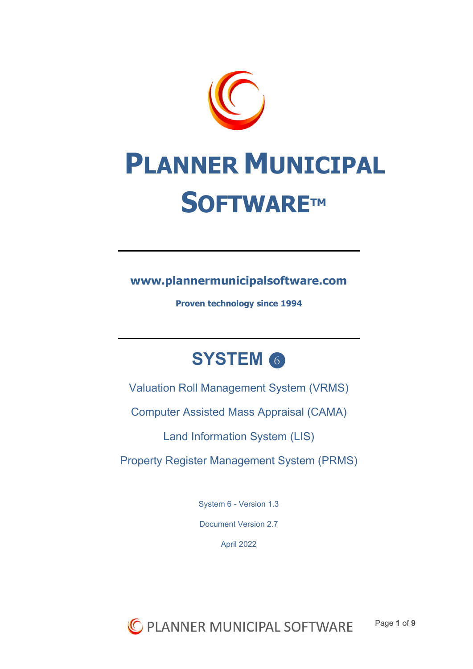

# **www.plannermunicipalsoftware.com**

**Proven technology since 1994**

# **SYSTEM 6**

Valuation Roll Management System (VRMS)

Computer Assisted Mass Appraisal (CAMA)

Land Information System (LIS)

Property Register Management System (PRMS)

System 6 - Version 1.3

Document Version 2.7

April 2022

C PLANNER MUNICIPAL SOFTWARE Page **1** of **9**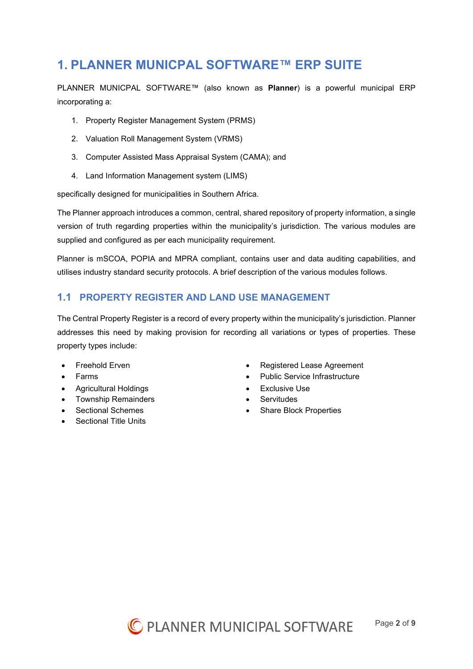# **1. PLANNER MUNICPAL SOFTWARE™ ERP SUITE**

PLANNER MUNICPAL SOFTWARE™ (also known as **Planner**) is a powerful municipal ERP incorporating a:

- 1. Property Register Management System (PRMS)
- 2. Valuation Roll Management System (VRMS)
- 3. Computer Assisted Mass Appraisal System (CAMA); and
- 4. Land Information Management system (LIMS)

specifically designed for municipalities in Southern Africa.

The Planner approach introduces a common, central, shared repository of property information, a single version of truth regarding properties within the municipality's jurisdiction. The various modules are supplied and configured as per each municipality requirement.

Planner is mSCOA, POPIA and MPRA compliant, contains user and data auditing capabilities, and utilises industry standard security protocols. A brief description of the various modules follows.

#### **1.1 PROPERTY REGISTER AND LAND USE MANAGEMENT**

The Central Property Register is a record of every property within the municipality's jurisdiction. Planner addresses this need by making provision for recording all variations or types of properties. These property types include:

- 
- 
- Agricultural Holdings Exclusive Use
- Township Remainders **•** Servitudes
- 
- **Sectional Title Units**
- **Freehold Erven Registered Lease Agreement**
- Farms Public Service Infrastructure
	-
	-
- Sectional Schemes Share Block Properties

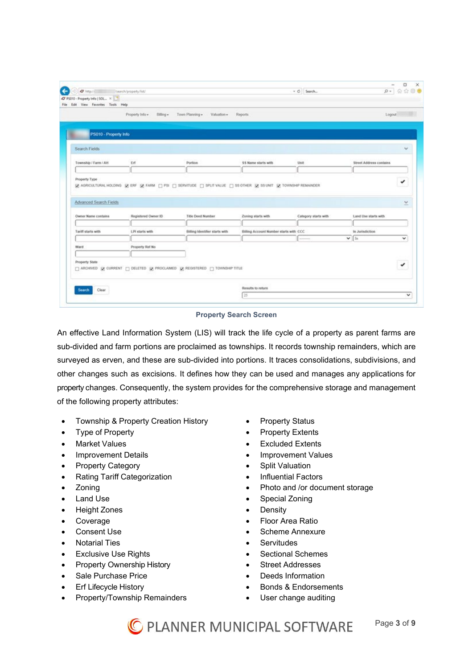| Portion.                                 | \$\$ Name starts with                  | Unit                                                                      |                                | $\omega$ |
|------------------------------------------|----------------------------------------|---------------------------------------------------------------------------|--------------------------------|----------|
|                                          |                                        |                                                                           |                                |          |
|                                          |                                        |                                                                           |                                |          |
|                                          |                                        |                                                                           | <b>Street Address contains</b> |          |
|                                          |                                        |                                                                           |                                |          |
| Registered Owner ID<br>Title Deed Number | Zoning starts with                     | Category starts with                                                      | Land Use starts with           | ×        |
|                                          |                                        |                                                                           |                                |          |
| Billing Identifier starts with           | Billing Account Number starts with CCC |                                                                           | In Jurisdiction                |          |
|                                          |                                        |                                                                           | $\vee$   in                    | v        |
| Property Ref No.                         |                                        |                                                                           |                                |          |
|                                          |                                        |                                                                           |                                | ٠        |
|                                          |                                        | □ ARCHIVED © CURRENT □ DELETED © PROCLAIMED © REGISTERED □ TOWNSHIP TITLE | Results to return              |          |

#### **Property Search Screen**

An effective Land Information System (LIS) will track the life cycle of a property as parent farms are sub-divided and farm portions are proclaimed as townships. It records township remainders, which are surveyed as erven, and these are sub-divided into portions. It traces consolidations, subdivisions, and other changes such as excisions. It defines how they can be used and manages any applications for property changes. Consequently, the system provides for the comprehensive storage and management of the following property attributes:

- Township & Property Creation History Property Status
- 
- 
- 
- **Property Category Split Valuation**
- Rating Tariff Categorization Influential Factors
- 
- 
- Height Zones  **Density**
- 
- 
- 
- Exclusive Use Rights **•** Sectional Schemes
- **Property Ownership History Street Addresses**
- Sale Purchase Price Calculation Deeds Information
- 
- Property/Township Remainders User change auditing
- 
- Type of Property **Figure 1** Property Extents
- Market Values Excluded Extents
- Improvement Details Improvement Values
	-
	-
- Zoning Photo and /or document storage
- Land Use **Figure 2018 Special Zoning** 
	-
- Coverage Floor Area Ratio
- Consent Use Scheme Annexure
	- Notarial Ties Servitudes
		-
		-
		-
	- **Erf Lifecycle History Bonds & Endorsements** 
		-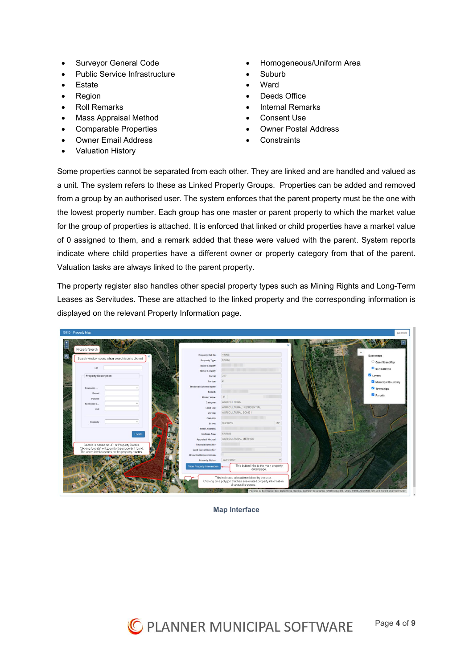- 
- Public Service Infrastructure Suburb
- Estate Ward
- 
- 
- Mass Appraisal Method Consent Use
- 
- Owner Email Address **•** Constraints
- Valuation History
- Surveyor General Code Homogeneous/Uniform Area
	-
	-
- Region **Deeds Office** 
	- Roll Remarks Internal Remarks
		-
	- Comparable Properties Owner Postal Address
		-

Some properties cannot be separated from each other. They are linked and are handled and valued as a unit. The system refers to these as Linked Property Groups. Properties can be added and removed from a group by an authorised user. The system enforces that the parent property must be the one with the lowest property number. Each group has one master or parent property to which the market value for the group of properties is attached. It is enforced that linked or child properties have a market value of 0 assigned to them, and a remark added that these were valued with the parent. System reports indicate where child properties have a different owner or property category from that of the parent. Valuation tasks are always linked to the parent property.

The property register also handles other special property types such as Mining Rights and Long-Term Leases as Servitudes. These are attached to the linked property and the corresponding information is displayed on the relevant Property Information page.



**Map Interface**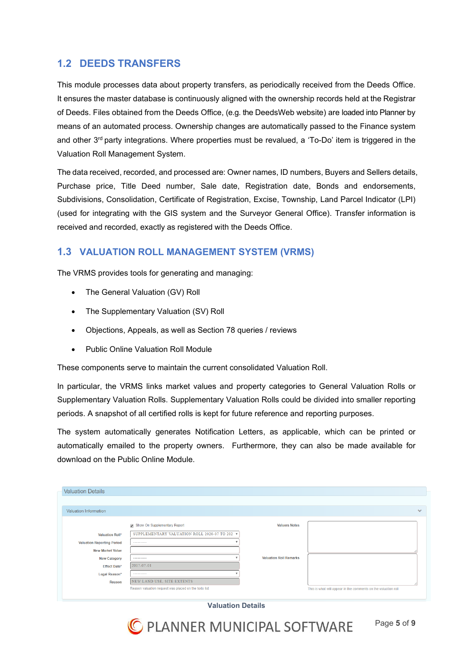### **1.2 DEEDS TRANSFERS**

This module processes data about property transfers, as periodically received from the Deeds Office. It ensures the master database is continuously aligned with the ownership records held at the Registrar of Deeds. Files obtained from the Deeds Office, (e.g. the DeedsWeb website) are loaded into Planner by means of an automated process. Ownership changes are automatically passed to the Finance system and other  $3<sup>rd</sup>$  party integrations. Where properties must be revalued, a 'To-Do' item is triggered in the Valuation Roll Management System.

The data received, recorded, and processed are: Owner names, ID numbers, Buyers and Sellers details, Purchase price, Title Deed number, Sale date, Registration date, Bonds and endorsements, Subdivisions, Consolidation, Certificate of Registration, Excise, Township, Land Parcel Indicator (LPI) (used for integrating with the GIS system and the Surveyor General Office). Transfer information is received and recorded, exactly as registered with the Deeds Office.

#### **1.3 VALUATION ROLL MANAGEMENT SYSTEM (VRMS)**

The VRMS provides tools for generating and managing:

- The General Valuation (GV) Roll
- The Supplementary Valuation (SV) Roll
- Objections, Appeals, as well as Section 78 queries / reviews
- Public Online Valuation Roll Module

These components serve to maintain the current consolidated Valuation Roll.

In particular, the VRMS links market values and property categories to General Valuation Rolls or Supplementary Valuation Rolls. Supplementary Valuation Rolls could be divided into smaller reporting periods. A snapshot of all certified rolls is kept for future reference and reporting purposes.

The system automatically generates Notification Letters, as applicable, which can be printed or automatically emailed to the property owners. Furthermore, they can also be made available for download on the Public Online Module.

| <b>Valuation Details</b>          |                                                      |                               |                                                                |
|-----------------------------------|------------------------------------------------------|-------------------------------|----------------------------------------------------------------|
|                                   |                                                      |                               |                                                                |
| Valuation Information             |                                                      |                               | $\checkmark$                                                   |
|                                   | Show On Supplementary Report                         | <b>Valuers Notes</b>          |                                                                |
| <b>Valuation Roll*</b>            | SUPPLEMENTARY VALUATION ROLL 2020-07 TO 202 V        |                               |                                                                |
| <b>Valuation Reporting Period</b> | ---------                                            |                               |                                                                |
| <b>New Market Value</b>           |                                                      |                               |                                                                |
| <b>New Category</b>               | ---------                                            | <b>Valuation Roll Remarks</b> |                                                                |
| <b>Effect Date*</b>               | 2017-07-01                                           |                               |                                                                |
| Legal Reason*                     | ---------                                            |                               |                                                                |
| Reason                            | NEW LAND USE, SITE EXTENTS                           |                               |                                                                |
|                                   | Reason valuation request was placed on the todo list |                               | This is what will appear in the comments on the valuation roll |

#### **Valuation Details**

C PLANNER MUNICIPAL SOFTWARE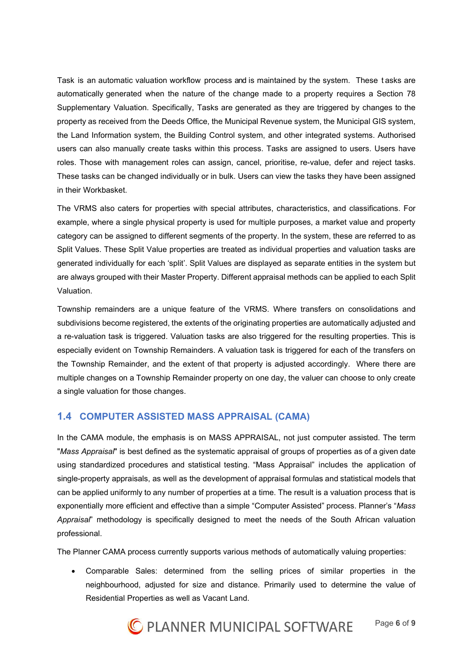Task is an automatic valuation workflow process and is maintained by the system. These t asks are automatically generated when the nature of the change made to a property requires a Section 78 Supplementary Valuation. Specifically, Tasks are generated as they are triggered by changes to the property as received from the Deeds Office, the Municipal Revenue system, the Municipal GIS system, the Land Information system, the Building Control system, and other integrated systems. Authorised users can also manually create tasks within this process. Tasks are assigned to users. Users have roles. Those with management roles can assign, cancel, prioritise, re-value, defer and reject tasks. These tasks can be changed individually or in bulk. Users can view the tasks they have been assigned in their Workbasket.

The VRMS also caters for properties with special attributes, characteristics, and classifications. For example, where a single physical property is used for multiple purposes, a market value and property category can be assigned to different segments of the property. In the system, these are referred to as Split Values. These Split Value properties are treated as individual properties and valuation tasks are generated individually for each 'split'. Split Values are displayed as separate entities in the system but are always grouped with their Master Property. Different appraisal methods can be applied to each Split Valuation.

Township remainders are a unique feature of the VRMS. Where transfers on consolidations and subdivisions become registered, the extents of the originating properties are automatically adjusted and a re-valuation task is triggered. Valuation tasks are also triggered for the resulting properties. This is especially evident on Township Remainders. A valuation task is triggered for each of the transfers on the Township Remainder, and the extent of that property is adjusted accordingly. Where there are multiple changes on a Township Remainder property on one day, the valuer can choose to only create a single valuation for those changes.

#### **1.4 COMPUTER ASSISTED MASS APPRAISAL (CAMA)**

In the CAMA module, the emphasis is on MASS APPRAISAL, not just computer assisted. The term "*Mass Appraisal*" is best defined as the systematic appraisal of groups of properties as of a given date using standardized procedures and statistical testing. "Mass Appraisal" includes the application of single-property appraisals, as well as the development of appraisal formulas and statistical models that can be applied uniformly to any number of properties at a time. The result is a valuation process that is exponentially more efficient and effective than a simple "Computer Assisted" process. Planner's "*Mass Appraisal*" methodology is specifically designed to meet the needs of the South African valuation professional.

The Planner CAMA process currently supports various methods of automatically valuing properties:

• Comparable Sales: determined from the selling prices of similar properties in the neighbourhood, adjusted for size and distance. Primarily used to determine the value of Residential Properties as well as Vacant Land.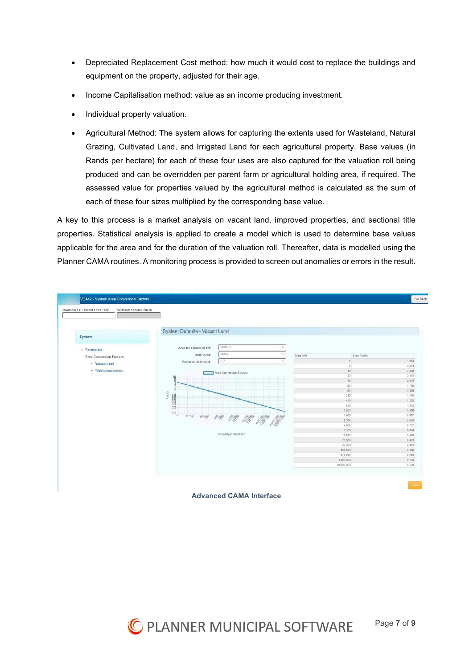- Depreciated Replacement Cost method: how much it would cost to replace the buildings and equipment on the property, adjusted for their age.
- Income Capitalisation method: value as an income producing investment.
- Individual property valuation.
- Agricultural Method: The system allows for capturing the extents used for Wasteland, Natural Grazing, Cultivated Land, and Irrigated Land for each agricultural property. Base values (in Rands per hectare) for each of these four uses are also captured for the valuation roll being produced and can be overridden per parent farm or agricultural holding area, if required. The assessed value for properties valued by the agricultural method is calculated as the sum of each of these four sizes multiplied by the corresponding base value.

A key to this process is a market analysis on vacant land, improved properties, and sectional title properties. Statistical analysis is applied to create a model which is used to determine base values applicable for the area and for the duration of the valuation roll. Thereafter, data is modelled using the Planner CAMA routines. A monitoring process is provided to screen out anomalies or errors in the result.



**Advanced CAMA Interface**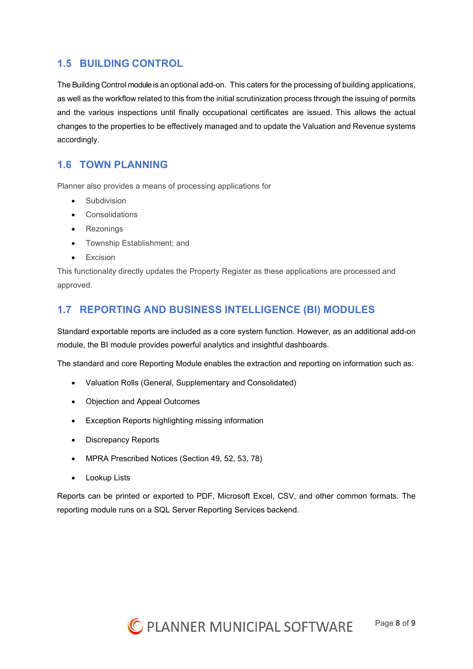# **1.5 BUILDING CONTROL**

The Building Control module is an optional add-on. This caters for the processing of building applications, as well as the workflow related to this from the initial scrutinization process through the issuing of permits and the various inspections until finally occupational certificates are issued. This allows the actual changes to the properties to be effectively managed and to update the Valuation and Revenue systems accordingly.

## **1.6 TOWN PLANNING**

Planner also provides a means of processing applications for

- **Subdivision**
- Consolidations
- Rezonings
- Township Establishment; and
- Excision

This functionality directly updates the Property Register as these applications are processed and approved.

# **1.7 REPORTING AND BUSINESS INTELLIGENCE (BI) MODULES**

Standard exportable reports are included as a core system function. However, as an additional add-on module, the BI module provides powerful analytics and insightful dashboards.

The standard and core Reporting Module enables the extraction and reporting on information such as:

- Valuation Rolls (General, Supplementary and Consolidated)
- Objection and Appeal Outcomes
- Exception Reports highlighting missing information
- Discrepancy Reports
- MPRA Prescribed Notices (Section 49, 52, 53, 78)
- Lookup Lists

Reports can be printed or exported to PDF, Microsoft Excel, CSV, and other common formats. The reporting module runs on a SQL Server Reporting Services backend.